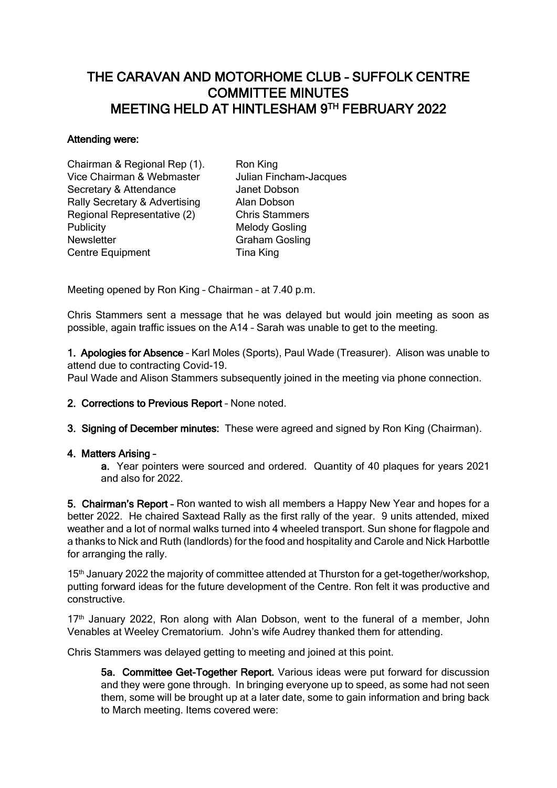# THE CARAVAN AND MOTORHOME CLUB – SUFFOLK CENTRE COMMITTEE MINUTES MEETING HELD AT HINTLESHAM 9 TH FEBRUARY 2022

#### Attending were:

Chairman & Regional Rep (1). Ron King Vice Chairman & Webmaster Julian Fincham-Jacques Secretary & Attendance **Janet Dobson** Rally Secretary & Advertising Alan Dobson Regional Representative (2) Chris Stammers Publicity Melody Gosling Newsletter Graham Gosling Centre Equipment Tina King

Meeting opened by Ron King – Chairman – at 7.40 p.m.

Chris Stammers sent a message that he was delayed but would join meeting as soon as possible, again traffic issues on the A14 – Sarah was unable to get to the meeting.

1. Apologies for Absence – Karl Moles (Sports), Paul Wade (Treasurer). Alison was unable to attend due to contracting Covid-19.

Paul Wade and Alison Stammers subsequently joined in the meeting via phone connection.

2. Corrections to Previous Report – None noted.

3. Signing of December minutes: These were agreed and signed by Ron King (Chairman).

# 4. Matters Arising –

 a. Year pointers were sourced and ordered. Quantity of 40 plaques for years 2021 and also for 2022.

5. Chairman's Report – Ron wanted to wish all members a Happy New Year and hopes for a better 2022. He chaired Saxtead Rally as the first rally of the year. 9 units attended, mixed weather and a lot of normal walks turned into 4 wheeled transport. Sun shone for flagpole and a thanks to Nick and Ruth (landlords) for the food and hospitality and Carole and Nick Harbottle for arranging the rally.

15<sup>th</sup> January 2022 the majority of committee attended at Thurston for a get-together/workshop. putting forward ideas for the future development of the Centre. Ron felt it was productive and constructive.

 $17<sup>th</sup>$  January 2022, Ron along with Alan Dobson, went to the funeral of a member, John Venables at Weeley Crematorium. John's wife Audrey thanked them for attending.

Chris Stammers was delayed getting to meeting and joined at this point.

 5a. Committee Get-Together Report. Various ideas were put forward for discussion and they were gone through. In bringing everyone up to speed, as some had not seen them, some will be brought up at a later date, some to gain information and bring back to March meeting. Items covered were: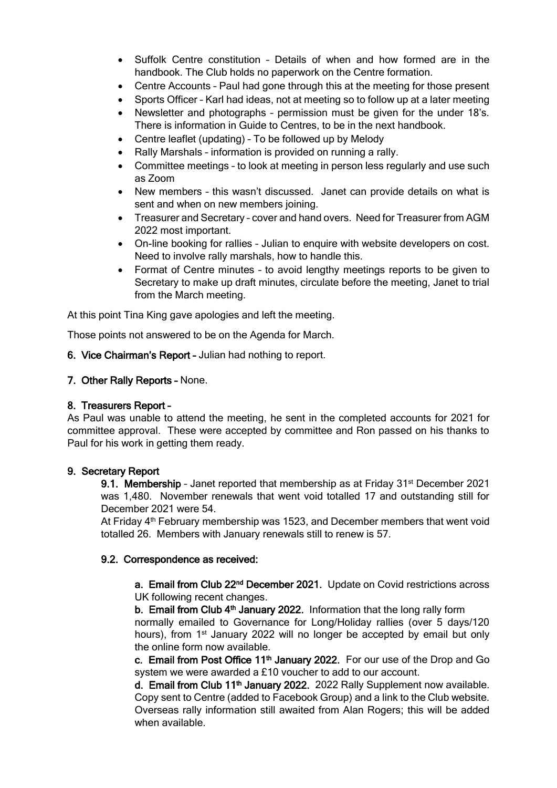- Suffolk Centre constitution Details of when and how formed are in the handbook. The Club holds no paperwork on the Centre formation.
- Centre Accounts Paul had gone through this at the meeting for those present
- Sports Officer Karl had ideas, not at meeting so to follow up at a later meeting
- Newsletter and photographs permission must be given for the under 18's. There is information in Guide to Centres, to be in the next handbook.
- Centre leaflet (updating) To be followed up by Melody
- Rally Marshals information is provided on running a rally.
- Committee meetings to look at meeting in person less regularly and use such as Zoom
- New members this wasn't discussed. Janet can provide details on what is sent and when on new members joining.
- Treasurer and Secretary cover and hand overs. Need for Treasurer from AGM 2022 most important.
- On-line booking for rallies Julian to enquire with website developers on cost. Need to involve rally marshals, how to handle this.
- Format of Centre minutes to avoid lengthy meetings reports to be given to Secretary to make up draft minutes, circulate before the meeting, Janet to trial from the March meeting.

At this point Tina King gave apologies and left the meeting.

Those points not answered to be on the Agenda for March.

6. Vice Chairman's Report – Julian had nothing to report.

### 7. Other Rally Reports – None.

#### 8. Treasurers Report –

As Paul was unable to attend the meeting, he sent in the completed accounts for 2021 for committee approval. These were accepted by committee and Ron passed on his thanks to Paul for his work in getting them ready.

#### 9. Secretary Report

9.1. Membership - Janet reported that membership as at Friday  $31<sup>st</sup>$  December 2021 was 1,480. November renewals that went void totalled 17 and outstanding still for December 2021 were 54.

At Friday 4th February membership was 1523, and December members that went void totalled 26. Members with January renewals still to renew is 57.

#### 9.2. Correspondence as received:

a. Email from Club 22<sup>nd</sup> December 2021. Update on Covid restrictions across UK following recent changes.

**b. Email from Club 4<sup>th</sup> January 2022.** Information that the long rally form

normally emailed to Governance for Long/Holiday rallies (over 5 days/120 hours), from 1<sup>st</sup> January 2022 will no longer be accepted by email but only the online form now available.

c. Email from Post Office  $11<sup>th</sup>$  January 2022. For our use of the Drop and Go system we were awarded a £10 voucher to add to our account.

d. Email from Club 11<sup>th</sup> January 2022. 2022 Rally Supplement now available. Copy sent to Centre (added to Facebook Group) and a link to the Club website. Overseas rally information still awaited from Alan Rogers; this will be added when available.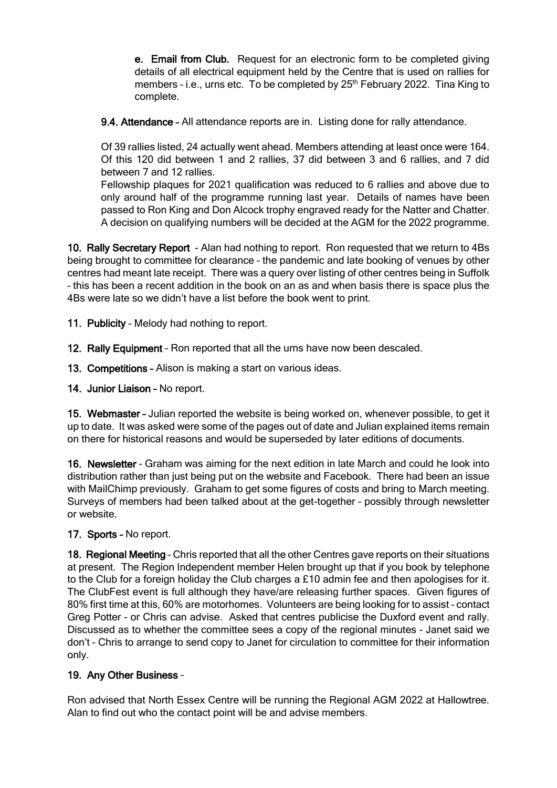e. Email from Club. Request for an electronic form to be completed giving details of all electrical equipment held by the Centre that is used on rallies for members - i.e., urns etc. To be completed by 25<sup>th</sup> February 2022. Tina King to complete.

9.4. Attendance – All attendance reports are in. Listing done for rally attendance.

Of 39 rallies listed, 24 actually went ahead. Members attending at least once were 164. Of this 120 did between 1 and 2 rallies, 37 did between 3 and 6 rallies, and 7 did between 7 and 12 rallies.

Fellowship plaques for 2021 qualification was reduced to 6 rallies and above due to only around half of the programme running last year. Details of names have been passed to Ron King and Don Alcock trophy engraved ready for the Natter and Chatter. A decision on qualifying numbers will be decided at the AGM for the 2022 programme.

10. Rally Secretary Report - Alan had nothing to report. Ron requested that we return to 4Bs being brought to committee for clearance – the pandemic and late booking of venues by other centres had meant late receipt. There was a query over listing of other centres being in Suffolk – this has been a recent addition in the book on an as and when basis there is space plus the 4Bs were late so we didn't have a list before the book went to print.

11. Publicity - Melody had nothing to report.

12. Rally Equipment – Ron reported that all the urns have now been descaled.

13. Competitions – Alison is making a start on various ideas.

14. Junior Liaison - No report.

15. Webmaster – Julian reported the website is being worked on, whenever possible, to get it up to date. It was asked were some of the pages out of date and Julian explained items remain on there for historical reasons and would be superseded by later editions of documents.

16. Newsletter – Graham was aiming for the next edition in late March and could he look into distribution rather than just being put on the website and Facebook. There had been an issue with MailChimp previously. Graham to get some figures of costs and bring to March meeting. Surveys of members had been talked about at the get-together – possibly through newsletter or website.

# 17. Sports - No report.

18. Regional Meeting – Chris reported that all the other Centres gave reports on their situations at present. The Region Independent member Helen brought up that if you book by telephone to the Club for a foreign holiday the Club charges a £10 admin fee and then apologises for it. The ClubFest event is full although they have/are releasing further spaces. Given figures of 80% first time at this, 60% are motorhomes. Volunteers are being looking for to assist – contact Greg Potter – or Chris can advise. Asked that centres publicise the Duxford event and rally. Discussed as to whether the committee sees a copy of the regional minutes – Janet said we don't – Chris to arrange to send copy to Janet for circulation to committee for their information only.

# 19. Any Other Business –

Ron advised that North Essex Centre will be running the Regional AGM 2022 at Hallowtree. Alan to find out who the contact point will be and advise members.